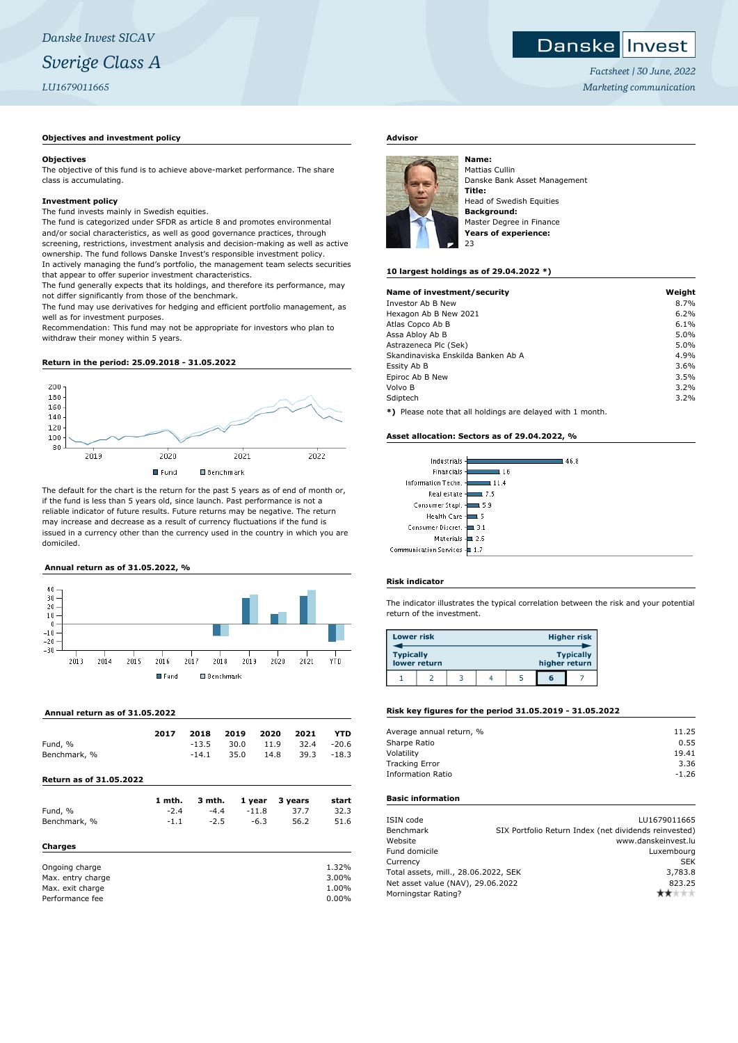## **Objectives and investment policy**

## **Objectives**

The objective of this fund is to achieve above-market performance. The share class is accumulating.

## **Investment policy**

The fund invests mainly in Swedish equities.

The fund is categorized under SFDR as article 8 and promotes environmental and/or social characteristics, as well as good governance practices, through screening, restrictions, investment analysis and decision-making as well as active ownership. The fund follows Danske Invest's responsible investment policy. In actively managing the fund's portfolio, the management team selects securities that appear to offer superior investment characteristics.

The fund generally expects that its holdings, and therefore its performance, may not differ significantly from those of the benchmark.

The fund may use derivatives for hedging and efficient portfolio management, as well as for investment purposes.

Recommendation: This fund may not be appropriate for investors who plan to withdraw their money within 5 years.

## **Return in the period: 25.09.2018 - 31.05.2022**



The default for the chart is the return for the past 5 years as of end of month or, if the fund is less than 5 years old, since launch. Past performance is not a reliable indicator of future results. Future returns may be negative. The return may increase and decrease as a result of currency fluctuations if the fund is issued in a currency other than the currency used in the country in which you are domiciled.

# **Annual return as of 31.05.2022, %**



## **Annual return as of 31.05.2022**

|              | 2017 | 2018    |                                | 2019 2020 2021 |            | YTD |
|--------------|------|---------|--------------------------------|----------------|------------|-----|
| Fund, %      |      |         | $-13.5$ 30.0 11.9 32.4 $-20.6$ |                |            |     |
| Benchmark, % |      | $-14.1$ | 35.0                           | 14.8           | 39.3 -18.3 |     |

## **Return as of 31.05.2022**

|                   | 1 mth. | 3 mth. | 1 year  | 3 years | start |
|-------------------|--------|--------|---------|---------|-------|
| Fund, %           | $-2.4$ | $-4.4$ | $-11.8$ | 37.7    | 32.3  |
| Benchmark, %      | $-1.1$ | $-2.5$ | $-6.3$  | 56.2    | 51.6  |
| Charges           |        |        |         |         |       |
| Ongoing charge    |        |        |         |         | 1.32% |
| Max. entry charge |        |        |         |         | 3.00% |
| Max. exit charge  |        |        |         |         | 1.00% |

Performance fee 0.00%

# **Advisor**



Mattias Cullin Danske Bank Asset Management **Title:** Head of Swedish Equities **Background:** Master Degree in Finance **Years of experience:** 23

## **10 largest holdings as of 29.04.2022 \*)**

| Name of investment/security                                  | Weight |
|--------------------------------------------------------------|--------|
| Investor Ab B New                                            | 8.7%   |
| Hexagon Ab B New 2021                                        | 6.2%   |
| Atlas Copco Ab B                                             | 6.1%   |
| Assa Abloy Ab B                                              | 5.0%   |
| Astrazeneca Plc (Sek)                                        | 5.0%   |
| Skandinaviska Enskilda Banken Ab A                           | 4.9%   |
| Essity Ab B                                                  | 3.6%   |
| Epiroc Ab B New                                              | 3.5%   |
| Volvo B                                                      | 3.2%   |
| Sdiptech                                                     | 3.2%   |
| $*1$ Dispos pote that all beldings are delayed with 1 member |        |

**\*)** Please note that all holdings are delayed with 1 month.

## **Asset allocation: Sectors as of 29.04.2022, %**

| 46.8                         |
|------------------------------|
| Financials-<br>. 16          |
| Information Techn. -<br>11.4 |
| Real estate -<br>7.5         |
| 5.9                          |
| Health Care -<br>: 5         |
| Consumer Discret. ⊣<br>l 3.1 |
| Materials - 2.6              |
| Communication Services - 1.7 |
|                              |

## **Risk indicator**

The indicator illustrates the typical correlation between the risk and your potential return of the investment.

| <b>Lower risk</b> |              |  |               | Higher risk      |
|-------------------|--------------|--|---------------|------------------|
| <b>Typically</b>  | lower return |  | higher return | <b>Typically</b> |
|                   |              |  | G             |                  |

## **Risk key figures for the period 31.05.2019 - 31.05.2022**

| Average annual return, % | 11.25   |
|--------------------------|---------|
| Sharpe Ratio             | 0.55    |
| Volatility               | 19.41   |
| <b>Tracking Error</b>    | 3.36    |
| <b>Information Ratio</b> | $-1.26$ |
|                          |         |

# **Basic information**

| LU1679011665                                          |
|-------------------------------------------------------|
| SIX Portfolio Return Index (net dividends reinvested) |
| www.danskeinvest.lu                                   |
| Luxembourg                                            |
| <b>SEK</b>                                            |
| Total assets, mill., 28.06.2022, SEK<br>3,783.8       |
| Net asset value (NAV), 29.06.2022<br>823.25           |
| r★☆☆☆                                                 |
|                                                       |

*Factsheet | 30 June, 2022 Marketing communication*